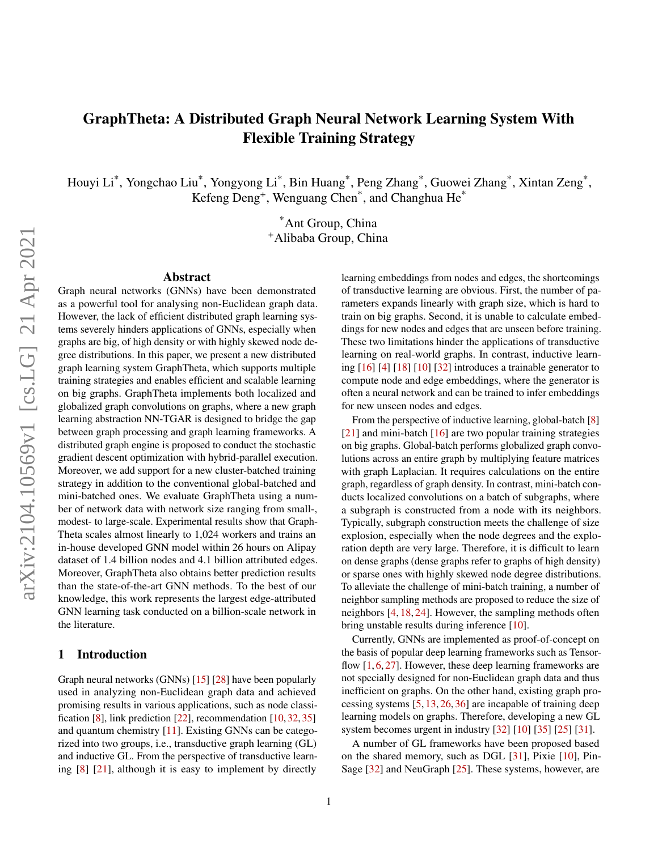# GraphTheta: A Distributed Graph Neural Network Learning System With Flexible Training Strategy

Houyi Li $^*$ , Yongchao Liu $^*$ , Yongyong Li $^*$ , Bin Huang $^*$ , Peng Zhang $^*$ , Guowei Zhang $^*$ , Xintan Zeng $^*$ , Kefeng Deng<sup>+</sup>, Wenguang Chen<sup>\*</sup>, and Changhua He<sup>\*</sup>

> \*Ant Group, China <sup>+</sup>Alibaba Group, China

#### Abstract

Graph neural networks (GNNs) have been demonstrated as a powerful tool for analysing non-Euclidean graph data. However, the lack of efficient distributed graph learning systems severely hinders applications of GNNs, especially when graphs are big, of high density or with highly skewed node degree distributions. In this paper, we present a new distributed graph learning system GraphTheta, which supports multiple training strategies and enables efficient and scalable learning on big graphs. GraphTheta implements both localized and globalized graph convolutions on graphs, where a new graph learning abstraction NN-TGAR is designed to bridge the gap between graph processing and graph learning frameworks. A distributed graph engine is proposed to conduct the stochastic gradient descent optimization with hybrid-parallel execution. Moreover, we add support for a new cluster-batched training strategy in addition to the conventional global-batched and mini-batched ones. We evaluate GraphTheta using a number of network data with network size ranging from small-, modest- to large-scale. Experimental results show that Graph-Theta scales almost linearly to 1,024 workers and trains an in-house developed GNN model within 26 hours on Alipay dataset of 1.4 billion nodes and 4.1 billion attributed edges. Moreover, GraphTheta also obtains better prediction results than the state-of-the-art GNN methods. To the best of our knowledge, this work represents the largest edge-attributed GNN learning task conducted on a billion-scale network in the literature.

#### 1 Introduction

Graph neural networks (GNNs) [\[15\]](#page-11-0) [\[28\]](#page-11-1) have been popularly used in analyzing non-Euclidean graph data and achieved promising results in various applications, such as node classification [\[8\]](#page-10-0), link prediction [\[22\]](#page-11-2), recommendation [\[10,](#page-10-1) [32,](#page-11-3) [35\]](#page-12-0) and quantum chemistry [\[11\]](#page-10-2). Existing GNNs can be categorized into two groups, i.e., transductive graph learning (GL) and inductive GL. From the perspective of transductive learning [\[8\]](#page-10-0) [\[21\]](#page-11-4), although it is easy to implement by directly

learning embeddings from nodes and edges, the shortcomings of transductive learning are obvious. First, the number of parameters expands linearly with graph size, which is hard to train on big graphs. Second, it is unable to calculate embeddings for new nodes and edges that are unseen before training. These two limitations hinder the applications of transductive learning on real-world graphs. In contrast, inductive learning [\[16\]](#page-11-5) [\[4\]](#page-10-3) [\[18\]](#page-11-6) [\[10\]](#page-10-1) [\[32\]](#page-11-3) introduces a trainable generator to compute node and edge embeddings, where the generator is often a neural network and can be trained to infer embeddings for new unseen nodes and edges.

From the perspective of inductive learning, global-batch [\[8\]](#page-10-0) [\[21\]](#page-11-4) and mini-batch [\[16\]](#page-11-5) are two popular training strategies on big graphs. Global-batch performs globalized graph convolutions across an entire graph by multiplying feature matrices with graph Laplacian. It requires calculations on the entire graph, regardless of graph density. In contrast, mini-batch conducts localized convolutions on a batch of subgraphs, where a subgraph is constructed from a node with its neighbors. Typically, subgraph construction meets the challenge of size explosion, especially when the node degrees and the exploration depth are very large. Therefore, it is difficult to learn on dense graphs (dense graphs refer to graphs of high density) or sparse ones with highly skewed node degree distributions. To alleviate the challenge of mini-batch training, a number of neighbor sampling methods are proposed to reduce the size of neighbors [\[4,](#page-10-3) [18,](#page-11-6) [24\]](#page-11-7). However, the sampling methods often bring unstable results during inference [\[10\]](#page-10-1).

Currently, GNNs are implemented as proof-of-concept on the basis of popular deep learning frameworks such as Tensorflow  $[1, 6, 27]$  $[1, 6, 27]$  $[1, 6, 27]$  $[1, 6, 27]$  $[1, 6, 27]$ . However, these deep learning frameworks are not specially designed for non-Euclidean graph data and thus inefficient on graphs. On the other hand, existing graph processing systems [\[5,](#page-10-6) [13,](#page-11-9) [26,](#page-11-10) [36\]](#page-12-1) are incapable of training deep learning models on graphs. Therefore, developing a new GL system becomes urgent in industry [\[32\]](#page-11-3) [\[10\]](#page-10-1) [\[35\]](#page-12-0) [\[25\]](#page-11-11) [\[31\]](#page-11-12).

A number of GL frameworks have been proposed based on the shared memory, such as DGL [\[31\]](#page-11-12), Pixie [\[10\]](#page-10-1), Pin-Sage [\[32\]](#page-11-3) and NeuGraph [\[25\]](#page-11-11). These systems, however, are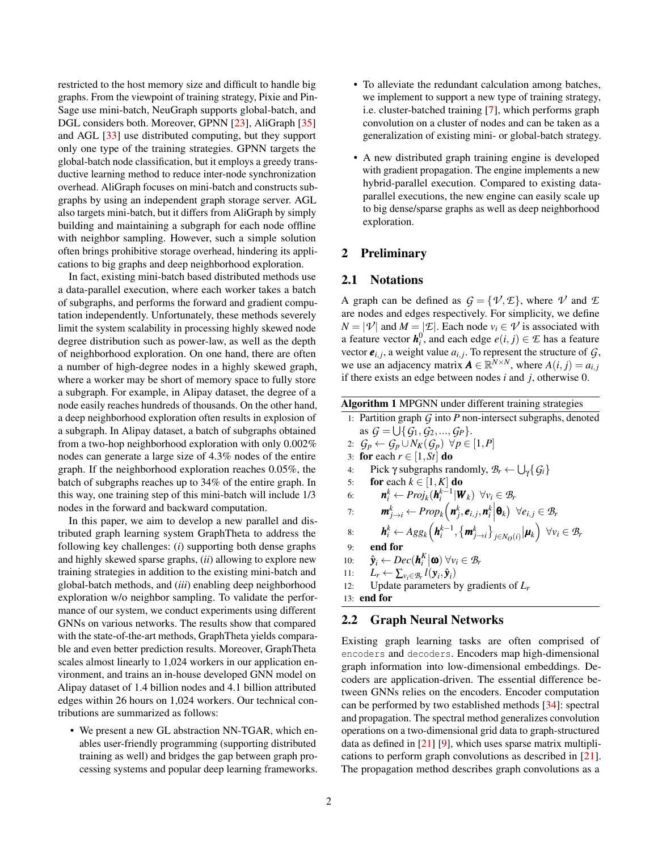restricted to the host memory size and difficult to handle big graphs. From the viewpoint of training strategy, Pixie and Pin-Sage use mini-batch, NeuGraph supports global-batch, and DGL considers both. Moreover, GPNN [\[23\]](#page-11-13), AliGraph [\[35\]](#page-12-0) and AGL [\[33\]](#page-11-14) use distributed computing, but they support only one type of the training strategies. GPNN targets the global-batch node classification, but it employs a greedy transductive learning method to reduce inter-node synchronization overhead. AliGraph focuses on mini-batch and constructs subgraphs by using an independent graph storage server. AGL also targets mini-batch, but it differs from AliGraph by simply building and maintaining a subgraph for each node offline with neighbor sampling. However, such a simple solution often brings prohibitive storage overhead, hindering its applications to big graphs and deep neighborhood exploration.

In fact, existing mini-batch based distributed methods use a data-parallel execution, where each worker takes a batch of subgraphs, and performs the forward and gradient computation independently. Unfortunately, these methods severely limit the system scalability in processing highly skewed node degree distribution such as power-law, as well as the depth of neighborhood exploration. On one hand, there are often a number of high-degree nodes in a highly skewed graph, where a worker may be short of memory space to fully store a subgraph. For example, in Alipay dataset, the degree of a node easily reaches hundreds of thousands. On the other hand, a deep neighborhood exploration often results in explosion of a subgraph. In Alipay dataset, a batch of subgraphs obtained from a two-hop neighborhood exploration with only 0.002% nodes can generate a large size of 4.3% nodes of the entire graph. If the neighborhood exploration reaches 0.05%, the batch of subgraphs reaches up to 34% of the entire graph. In this way, one training step of this mini-batch will include 1/3 nodes in the forward and backward computation.

In this paper, we aim to develop a new parallel and distributed graph learning system GraphTheta to address the following key challenges: (*i*) supporting both dense graphs and highly skewed sparse graphs, (*ii*) allowing to explore new training strategies in addition to the existing mini-batch and global-batch methods, and (*iii*) enabling deep neighborhood exploration w/o neighbor sampling. To validate the performance of our system, we conduct experiments using different GNNs on various networks. The results show that compared with the state-of-the-art methods, GraphTheta yields comparable and even better prediction results. Moreover, GraphTheta scales almost linearly to 1,024 workers in our application environment, and trains an in-house developed GNN model on Alipay dataset of 1.4 billion nodes and 4.1 billion attributed edges within 26 hours on 1,024 workers. Our technical contributions are summarized as follows:

• We present a new GL abstraction NN-TGAR, which enables user-friendly programming (supporting distributed training as well) and bridges the gap between graph processing systems and popular deep learning frameworks.

- To alleviate the redundant calculation among batches, we implement to support a new type of training strategy, i.e. cluster-batched training [\[7\]](#page-10-7), which performs graph convolution on a cluster of nodes and can be taken as a generalization of existing mini- or global-batch strategy.
- A new distributed graph training engine is developed with gradient propagation. The engine implements a new hybrid-parallel execution. Compared to existing dataparallel executions, the new engine can easily scale up to big dense/sparse graphs as well as deep neighborhood exploration.

# <span id="page-1-1"></span>2 Preliminary

#### 2.1 Notations

A graph can be defined as  $G = \{ \mathcal{V}, \mathcal{E} \}$ , where  $\mathcal{V}$  and  $\mathcal{E}$ are nodes and edges respectively. For simplicity, we define  $N = |\mathcal{V}|$  and  $M = |\mathcal{E}|$ . Each node  $v_i \in \mathcal{V}$  is associated with a feature vector  $h_i^0$ , and each edge  $e(i, j) \in \mathcal{E}$  has a feature vector  $e_{i,j}$ , a weight value  $a_{i,j}$ . To represent the structure of  $\mathcal{G}$ , we use an adjacency matrix  $\mathbf{A} \in \mathbb{R}^{N \times N}$ , where  $A(i, j) = a_{i,j}$ if there exists an edge between nodes *i* and *j*, otherwise 0.

Algorithm 1 MPGNN under different training strategies

- <span id="page-1-0"></span>1: Partition graph *G* into *P* non-intersect subgraphs, denoted as  $G = \bigcup \{G_1, G_2, ..., G_P\}.$ 2:  $G_p \leftarrow G_p \cup N_K(G_p) \ \forall p \in [1, P]$
- 
- 3: for each  $r \in [1, St]$  do 4: Pick  $\gamma$  subgraphs randomly,  $\mathcal{B}_r \leftarrow \bigcup_{\gamma} {\{ \mathcal{G}_i \}}$
- 5: **for** each  $k \in [1, K]$  do
- 6:  $\boldsymbol{n}_i^k \leftarrow Proj_k(\boldsymbol{h}_i^{k-1} | \boldsymbol{W}_k) \ \ \forall v_i \in \mathcal{B}_r$
- 7:  $\boldsymbol{m}_{j \to i}^k \leftarrow Prop_k(\boldsymbol{n}_j^k, \boldsymbol{e}_{i,j}, \boldsymbol{n}_i^k \Big| \boldsymbol{\theta}_k) \ \ \forall e_{i,j} \in \mathcal{B}_r$
- 8:  $\boldsymbol{h}_i^k \leftarrow Agg_k(\boldsymbol{h}_i^{k-1}, \{\boldsymbol{m}_{j \to i}^k\}_{j \in N_O(i)} | \boldsymbol{\mu}_k) \ \ \forall v_i \in \mathcal{B}_r$
- 9: end for
- 10: *y*ˆ  $\mathbf{z}_i \leftarrow Dec(\mathbf{h}_i^K|\mathbf{\omega}) \ \forall v_i \in \mathcal{B}_r$
- 11:  $L_r \leftarrow \sum_{v_i \in \mathcal{B}_r} l(\mathbf{y}_i, \hat{\mathbf{y}}_i)$
- 12: Update parameters by gradients of *L<sup>r</sup>*

13: end for

# 2.2 Graph Neural Networks

Existing graph learning tasks are often comprised of encoders and decoders. Encoders map high-dimensional graph information into low-dimensional embeddings. Decoders are application-driven. The essential difference between GNNs relies on the encoders. Encoder computation can be performed by two established methods [\[34\]](#page-12-2): spectral and propagation. The spectral method generalizes convolution operations on a two-dimensional grid data to graph-structured data as defined in [\[21\]](#page-11-4) [\[9\]](#page-10-8), which uses sparse matrix multiplications to perform graph convolutions as described in [\[21\]](#page-11-4). The propagation method describes graph convolutions as a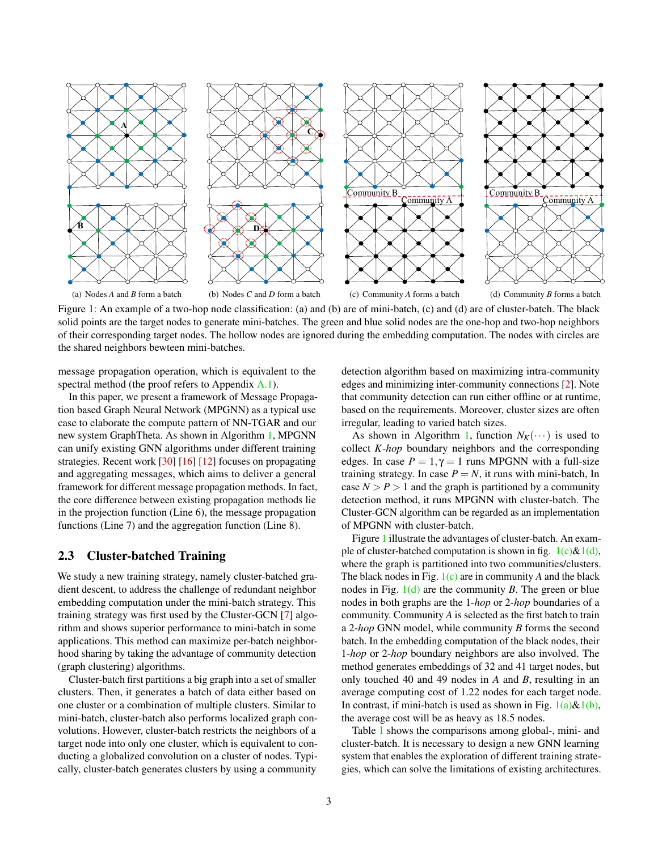<span id="page-2-3"></span>

<span id="page-2-4"></span>Figure 1: An example of a two-hop node classification: (a) and (b) are of mini-batch, (c) and (d) are of cluster-batch. The black solid points are the target nodes to generate mini-batches. The green and blue solid nodes are the one-hop and two-hop neighbors of their corresponding target nodes. The hollow nodes are ignored during the embedding computation. The nodes with circles are the shared neighbors bewteen mini-batches.

message propagation operation, which is equivalent to the spectral method (the proof refers to Appendix [A.1\)](#page-13-0).

In this paper, we present a framework of Message Propagation based Graph Neural Network (MPGNN) as a typical use case to elaborate the compute pattern of NN-TGAR and our new system GraphTheta. As shown in Algorithm [1,](#page-1-0) MPGNN can unify existing GNN algorithms under different training strategies. Recent work [\[30\]](#page-11-15) [\[16\]](#page-11-5) [\[12\]](#page-10-9) focuses on propagating and aggregating messages, which aims to deliver a general framework for different message propagation methods. In fact, the core difference between existing propagation methods lie in the projection function (Line 6), the message propagation functions (Line 7) and the aggregation function (Line 8).

#### 2.3 Cluster-batched Training

We study a new training strategy, namely cluster-batched gradient descent, to address the challenge of redundant neighbor embedding computation under the mini-batch strategy. This training strategy was first used by the Cluster-GCN [\[7\]](#page-10-7) algorithm and shows superior performance to mini-batch in some applications. This method can maximize per-batch neighborhood sharing by taking the advantage of community detection (graph clustering) algorithms.

Cluster-batch first partitions a big graph into a set of smaller clusters. Then, it generates a batch of data either based on one cluster or a combination of multiple clusters. Similar to mini-batch, cluster-batch also performs localized graph convolutions. However, cluster-batch restricts the neighbors of a target node into only one cluster, which is equivalent to conducting a globalized convolution on a cluster of nodes. Typically, cluster-batch generates clusters by using a community

<span id="page-2-2"></span><span id="page-2-1"></span><span id="page-2-0"></span>detection algorithm based on maximizing intra-community edges and minimizing inter-community connections [\[2\]](#page-10-10). Note that community detection can run either offline or at runtime, based on the requirements. Moreover, cluster sizes are often irregular, leading to varied batch sizes.

As shown in Algorithm [1,](#page-1-0) function  $N_K(\cdots)$  is used to collect *K*-*hop* boundary neighbors and the corresponding edges. In case  $P = 1, \gamma = 1$  runs MPGNN with a full-size training strategy. In case  $P = N$ , it runs with mini-batch, In case  $N > P > 1$  and the graph is partitioned by a community detection method, it runs MPGNN with cluster-batch. The Cluster-GCN algorithm can be regarded as an implementation of MPGNN with cluster-batch.

Figure [1](#page-2-0) illustrate the advantages of cluster-batch. An example of cluster-batched computation is shown in fig.  $1(c)\&1(d)$ , where the graph is partitioned into two communities/clusters. The black nodes in Fig. [1\(c\)](#page-2-1) are in community *A* and the black nodes in Fig. [1\(d\)](#page-2-2) are the community *B*. The green or blue nodes in both graphs are the 1-*hop* or 2-*hop* boundaries of a community. Community *A* is selected as the first batch to train a 2-*hop* GNN model, while community *B* forms the second batch. In the embedding computation of the black nodes, their 1-*hop* or 2-*hop* boundary neighbors are also involved. The method generates embeddings of 32 and 41 target nodes, but only touched 40 and 49 nodes in *A* and *B*, resulting in an average computing cost of 1.22 nodes for each target node. In contrast, if mini-batch is used as shown in Fig.  $1(a) \& 1(b)$  $1(a) \& 1(b)$ , the average cost will be as heavy as 18.5 nodes.

Table [1](#page-3-0) shows the comparisons among global-, mini- and cluster-batch. It is necessary to design a new GNN learning system that enables the exploration of different training strategies, which can solve the limitations of existing architectures.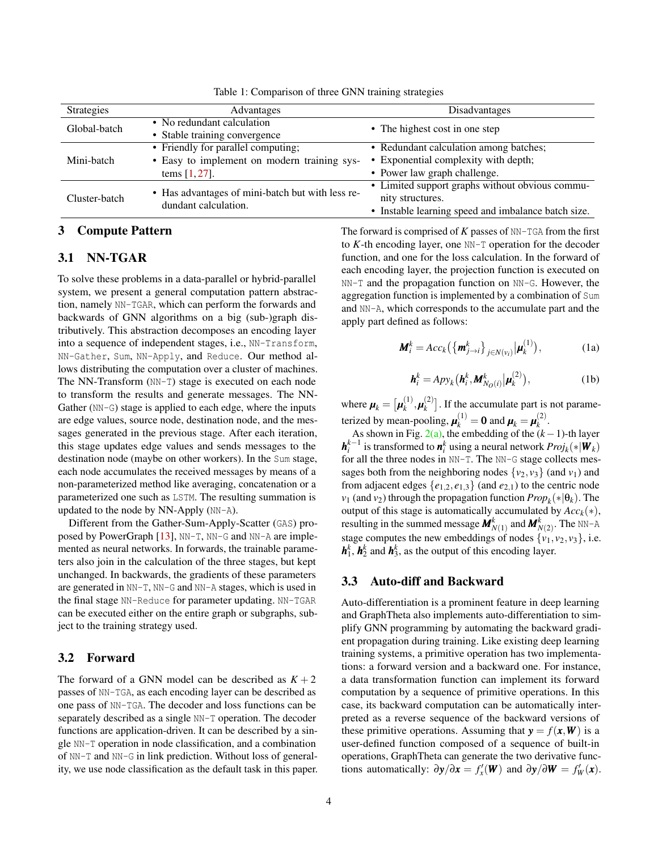<span id="page-3-0"></span>

| <b>Strategies</b> | Advantages                                                               | Disadvantages                                       |  |  |
|-------------------|--------------------------------------------------------------------------|-----------------------------------------------------|--|--|
| Global-batch      | • No redundant calculation                                               | • The highest cost in one step                      |  |  |
|                   | • Stable training convergence                                            |                                                     |  |  |
|                   | • Friendly for parallel computing;                                       | • Redundant calculation among batches;              |  |  |
| Mini-batch        | • Easy to implement on modern training sys-                              | • Exponential complexity with depth;                |  |  |
|                   | tems $[1, 27]$ .                                                         | • Power law graph challenge.                        |  |  |
| Cluster-batch     | • Has advantages of mini-batch but with less re-<br>dundant calculation. | • Limited support graphs without obvious commu-     |  |  |
|                   |                                                                          | nity structures.                                    |  |  |
|                   |                                                                          | • Instable learning speed and imbalance batch size. |  |  |

Table 1: Comparison of three GNN training strategies

# 3 Compute Pattern

# 3.1 NN-TGAR

To solve these problems in a data-parallel or hybrid-parallel system, we present a general computation pattern abstraction, namely NN-TGAR, which can perform the forwards and backwards of GNN algorithms on a big (sub-)graph distributively. This abstraction decomposes an encoding layer into a sequence of independent stages, i.e., NN-Transform, NN-Gather, Sum, NN-Apply, and Reduce. Our method allows distributing the computation over a cluster of machines. The NN-Transform (NN-T) stage is executed on each node to transform the results and generate messages. The NN-Gather (NN-G) stage is applied to each edge, where the inputs are edge values, source node, destination node, and the messages generated in the previous stage. After each iteration, this stage updates edge values and sends messages to the destination node (maybe on other workers). In the Sum stage, each node accumulates the received messages by means of a non-parameterized method like averaging, concatenation or a parameterized one such as LSTM. The resulting summation is updated to the node by NN-Apply (NN-A).

Different from the Gather-Sum-Apply-Scatter (GAS) proposed by PowerGraph [\[13\]](#page-11-9), NN-T, NN-G and NN-A are implemented as neural networks. In forwards, the trainable parameters also join in the calculation of the three stages, but kept unchanged. In backwards, the gradients of these parameters are generated in NN-T, NN-G and NN-A stages, which is used in the final stage NN-Reduce for parameter updating. NN-TGAR can be executed either on the entire graph or subgraphs, subject to the training strategy used.

# 3.2 Forward

The forward of a GNN model can be described as  $K + 2$ passes of NN-TGA, as each encoding layer can be described as one pass of NN-TGA. The decoder and loss functions can be separately described as a single NN-T operation. The decoder functions are application-driven. It can be described by a single NN-T operation in node classification, and a combination of NN-T and NN-G in link prediction. Without loss of generality, we use node classification as the default task in this paper. The forward is comprised of *K* passes of NN-TGA from the first to *K*-th encoding layer, one NN-T operation for the decoder function, and one for the loss calculation. In the forward of each encoding layer, the projection function is executed on NN-T and the propagation function on NN-G. However, the aggregation function is implemented by a combination of Sum and NN-A, which corresponds to the accumulate part and the apply part defined as follows:

<span id="page-3-1"></span>
$$
\mathbf{M}_i^k = Acc_k \left( \left\{ \mathbf{m}_{j \to i}^k \right\}_{j \in N(v_i)} \middle| \mathbf{\mu}_k^{(1)} \right), \tag{1a}
$$

$$
\boldsymbol{h}_i^k = Apy_k(\boldsymbol{h}_i^k, \boldsymbol{M}_{N_O(i)}^k | \boldsymbol{\mu}_k^{(2)}),
$$
 (1b)

<span id="page-3-2"></span>where  $\pmb{\mu}_k = \big[\pmb{\mu}_k^{(1)}\big]$  $\bm{u}_k^{(1)}$ ,  $\bm{\mu}_k^{(2)}$  $\binom{2}{k}$ . If the accumulate part is not parameterized by mean-pooling,  $\boldsymbol{\mu}_k^{(1)} = \mathbf{0}$  and  $\boldsymbol{\mu}_k = \boldsymbol{\mu}_k^{(2)}$ *k* .

As shown in Fig. [2\(a\),](#page-4-0) the embedding of the  $(k-1)$ -th layer *h*<sup>*k*−1</sup> is transformed to *n*<sup>*k*</sup></sup> using a neural network *Proj<sub>k</sub>*(∗|*W<sub>k</sub>*) for all the three nodes in NN-T. The NN-G stage collects messages both from the neighboring nodes  $\{v_2, v_3\}$  (and  $v_1$ ) and from adjacent edges  $\{e_{1,2}, e_{1,3}\}$  (and  $e_{2,1}$ ) to the centric node *v*<sub>1</sub> (and *v*<sub>2</sub>) through the propagation function  $Prop_k(*|\theta_k)$ . The output of this stage is automatically accumulated by  $Acc_{k}(*)$ , resulting in the summed message  $\mathbf{M}_{N(1)}^k$  and  $\mathbf{M}_{N(2)}^k$ . The NN-A stage computes the new embeddings of nodes  $\{v_1, v_2, v_3\}$ , i.e.  $h_1^k$ ,  $h_2^k$  and  $h_3^k$ , as the output of this encoding layer.

# 3.3 Auto-diff and Backward

Auto-differentiation is a prominent feature in deep learning and GraphTheta also implements auto-differentiation to simplify GNN programming by automating the backward gradient propagation during training. Like existing deep learning training systems, a primitive operation has two implementations: a forward version and a backward one. For instance, a data transformation function can implement its forward computation by a sequence of primitive operations. In this case, its backward computation can be automatically interpreted as a reverse sequence of the backward versions of these primitive operations. Assuming that  $y = f(x, W)$  is a user-defined function composed of a sequence of built-in operations, GraphTheta can generate the two derivative functions automatically:  $\partial y / \partial x = f'_x(\mathbf{W})$  and  $\partial y / \partial \mathbf{W} = f'_w(x)$ .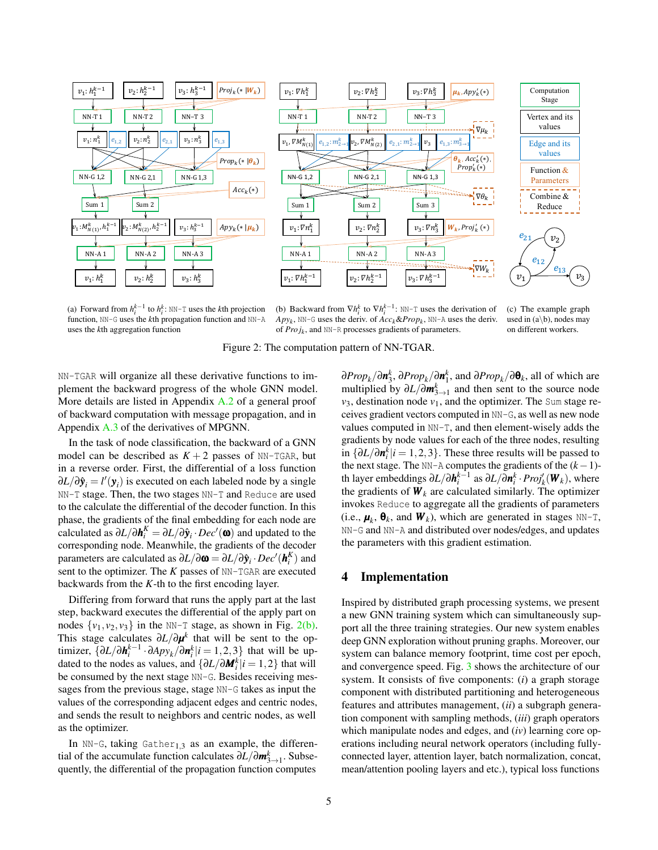<span id="page-4-0"></span>

(a) Forward from  $h_i^{k-1}$  to  $h_i^k$ : NN-T uses the *k*th projection function, NN-G uses the *k*th propagation function and NN-A

<span id="page-4-1"></span>(b) Backward from  $\nabla h_i^k$  to  $\nabla h_i^{k-1}$ : NN-T uses the derivation of *Apyk*, NN-G uses the deriv. of *Acck*&*Propk*, NN-A uses the deriv. of *Pro jk*, and NN-R processes gradients of parameters.

(c) The example graph used in  $(a \backslash b)$ , nodes may on different workers.

Figure 2: The computation pattern of NN-TGAR.

NN-TGAR will organize all these derivative functions to implement the backward progress of the whole GNN model. More details are listed in Appendix [A.2](#page-13-1) of a general proof of backward computation with message propagation, and in Appendix [A.3](#page-14-0) of the derivatives of MPGNN.

In the task of node classification, the backward of a GNN model can be described as  $K + 2$  passes of NN-TGAR, but in a reverse order. First, the differential of a loss function ∂*L*/∂ $\hat{\mathbf{y}}_i = l'(\mathbf{y}_i)$  is executed on each labeled node by a single NN-T stage. Then, the two stages NN-T and Reduce are used to the calculate the differential of the decoder function. In this phase, the gradients of the final embedding for each node are calculated as  $\partial L/\partial \bm{h}^K_i = \partial L/\partial \hat{\bm{y}}_i \cdot Dec'(\bm{\omega})$  and updated to the corresponding node. Meanwhile, the gradients of the decoder parameters are calculated as  $\partial L/\partial \boldsymbol{\omega} = \partial L/\partial \hat{\boldsymbol{y}}_i \cdot Dec'(\boldsymbol{h}_i^K)$  and sent to the optimizer. The *K* passes of NN-TGAR are executed backwards from the *K*-th to the first encoding layer.

Differing from forward that runs the apply part at the last step, backward executes the differential of the apply part on nodes  $\{v_1, v_2, v_3\}$  in the NN-T stage, as shown in Fig. [2\(b\).](#page-4-1) This stage calculates ∂*L*/∂*µ k* that will be sent to the optimizer,  $\{\partial L/\partial \mathbf{h}_i^{k-1} \cdot \partial A p y_k / \partial \mathbf{n}_i^k | i = 1, 2, 3\}$  that will be updated to the nodes as values, and  $\{\partial L / \partial M_i^k | i = 1, 2\}$  that will be consumed by the next stage NN-G. Besides receiving messages from the previous stage, stage NN-G takes as input the values of the corresponding adjacent edges and centric nodes, and sends the result to neighbors and centric nodes, as well as the optimizer.

In NN-G, taking Gather<sub>1,3</sub> as an example, the differential of the accumulate function calculates ∂*L*/∂*m k* 3→1 . Subsequently, the differential of the propagation function computes

∂*Prop<sub>k</sub>*/∂*n*<sup>*k*</sup><sub>3</sub>, ∂*Prop<sub>k</sub>*/∂*n*<sup>*k*</sup><sub>1</sub>, and ∂*Prop<sub>k</sub>*/∂**θ**<sub>*k*</sub>, all of which are multiplied by  $\partial L / \partial m_{3 \to 1}^k$  and then sent to the source node  $v_3$ , destination node  $v_1$ , and the optimizer. The Sum stage receives gradient vectors computed in NN-G, as well as new node values computed in NN-T, and then element-wisely adds the gradients by node values for each of the three nodes, resulting in  $\{\partial L/\partial \boldsymbol{n}_i^k | i = 1, 2, 3\}$ . These three results will be passed to the next stage. The NN-A computes the gradients of the (*k*−1) th layer embeddings  $\partial L/\partial \mathbf{h}_i^{k-1}$  as  $\partial L/\partial \mathbf{n}_i^k \cdot Proj_k(\mathbf{W}_k)$ , where the gradients of  $W_k$  are calculated similarly. The optimizer invokes Reduce to aggregate all the gradients of parameters (i.e.,  $\boldsymbol{\mu}_k$ ,  $\boldsymbol{\theta}_k$ , and  $\boldsymbol{W}_k$ ), which are generated in stages NN-T, NN-G and NN-A and distributed over nodes/edges, and updates the parameters with this gradient estimation.

#### 4 Implementation

Inspired by distributed graph processing systems, we present a new GNN training system which can simultaneously support all the three training strategies. Our new system enables deep GNN exploration without pruning graphs. Moreover, our system can balance memory footprint, time cost per epoch, and convergence speed. Fig. [3](#page-5-0) shows the architecture of our system. It consists of five components: (*i*) a graph storage component with distributed partitioning and heterogeneous features and attributes management, (*ii*) a subgraph generation component with sampling methods, (*iii*) graph operators which manipulate nodes and edges, and (*iv*) learning core operations including neural network operators (including fullyconnected layer, attention layer, batch normalization, concat, mean/attention pooling layers and etc.), typical loss functions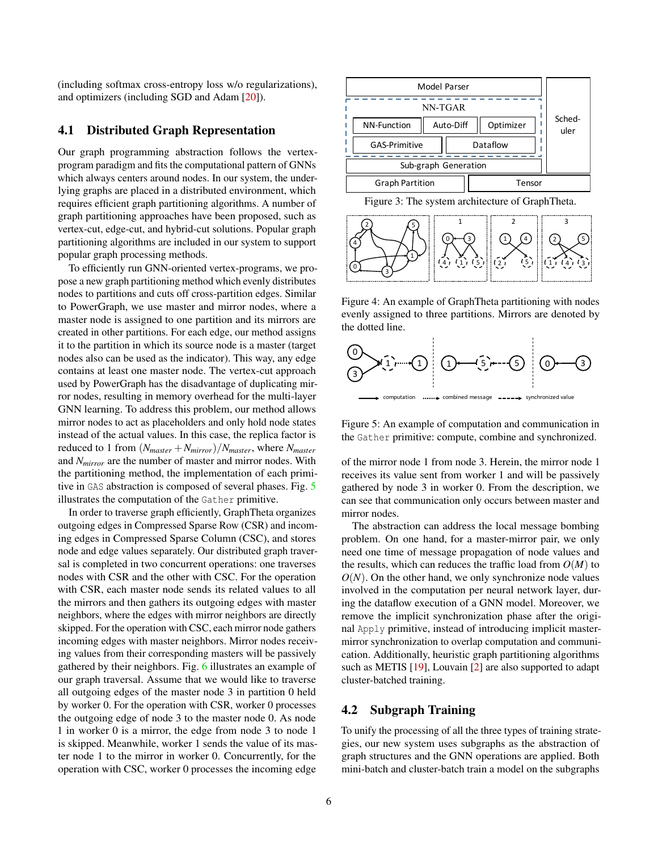(including softmax cross-entropy loss w/o regularizations), and optimizers (including SGD and Adam [\[20\]](#page-11-16)).

#### 4.1 Distributed Graph Representation

Our graph programming abstraction follows the vertexprogram paradigm and fits the computational pattern of GNNs which always centers around nodes. In our system, the underlying graphs are placed in a distributed environment, which requires efficient graph partitioning algorithms. A number of graph partitioning approaches have been proposed, such as vertex-cut, edge-cut, and hybrid-cut solutions. Popular graph partitioning algorithms are included in our system to support popular graph processing methods.

To efficiently run GNN-oriented vertex-programs, we propose a new graph partitioning method which evenly distributes nodes to partitions and cuts off cross-partition edges. Similar to PowerGraph, we use master and mirror nodes, where a master node is assigned to one partition and its mirrors are created in other partitions. For each edge, our method assigns it to the partition in which its source node is a master (target nodes also can be used as the indicator). This way, any edge contains at least one master node. The vertex-cut approach used by PowerGraph has the disadvantage of duplicating mirror nodes, resulting in memory overhead for the multi-layer GNN learning. To address this problem, our method allows mirror nodes to act as placeholders and only hold node states instead of the actual values. In this case, the replica factor is reduced to 1 from  $(N_{master} + N_{mirror})/N_{master}$ , where  $N_{master}$ and *Nmirror* are the number of master and mirror nodes. With the partitioning method, the implementation of each primitive in GAS abstraction is composed of several phases. Fig. [5](#page-5-1) illustrates the computation of the Gather primitive.

In order to traverse graph efficiently, GraphTheta organizes outgoing edges in Compressed Sparse Row (CSR) and incoming edges in Compressed Sparse Column (CSC), and stores node and edge values separately. Our distributed graph traversal is completed in two concurrent operations: one traverses nodes with CSR and the other with CSC. For the operation with CSR, each master node sends its related values to all the mirrors and then gathers its outgoing edges with master neighbors, where the edges with mirror neighbors are directly skipped. For the operation with CSC, each mirror node gathers incoming edges with master neighbors. Mirror nodes receiving values from their corresponding masters will be passively gathered by their neighbors. Fig. [6](#page-6-0) illustrates an example of our graph traversal. Assume that we would like to traverse all outgoing edges of the master node 3 in partition 0 held by worker 0. For the operation with CSR, worker 0 processes the outgoing edge of node 3 to the master node 0. As node 1 in worker 0 is a mirror, the edge from node 3 to node 1 is skipped. Meanwhile, worker 1 sends the value of its master node 1 to the mirror in worker 0. Concurrently, for the One graph programming absorbance is the spiral of the spiral of the spiral of the spiral of the spiral of the spiral of the spiral of the spiral of the spiral of the spiral of the spiral of the spiral of the spiral of the



<span id="page-5-0"></span>Figure 3: The system architecture of GraphTheta.



Figure 4: An example of GraphTheta partitioning with nodes evenly assigned to three partitions. Mirrors are denoted by the dotted line.



<span id="page-5-1"></span>computation  $\cdots$  combined message  $\cdots$  synchronized value

Figure 5: An example of computation and communication in the Gather primitive: compute, combine and synchronized.

of the mirror node 1 from node 3. Herein, the mirror node 1 receives its value sent from worker 1 and will be passively gathered by node 3 in worker 0. From the description, we can see that communication only occurs between master and mirror nodes.

The abstraction can address the local message bombing problem. On one hand, for a master-mirror pair, we only need one time of message propagation of node values and the results, which can reduces the traffic load from  $O(M)$  to  $O(N)$ . On the other hand, we only synchronize node values involved in the computation per neural network layer, during the dataflow execution of a GNN model. Moreover, we remove the implicit synchronization phase after the original Apply primitive, instead of introducing implicit mastermirror synchronization to overlap computation and communication. Additionally, heuristic graph partitioning algorithms such as METIS [\[19\]](#page-11-17), Louvain [\[2\]](#page-10-10) are also supported to adapt cluster-batched training.

# <span id="page-5-2"></span>4.2 Subgraph Training

To unify the processing of all the three types of training strategies, our new system uses subgraphs as the abstraction of graph structures and the GNN operations are applied. Both mini-batch and cluster-batch train a model on the subgraphs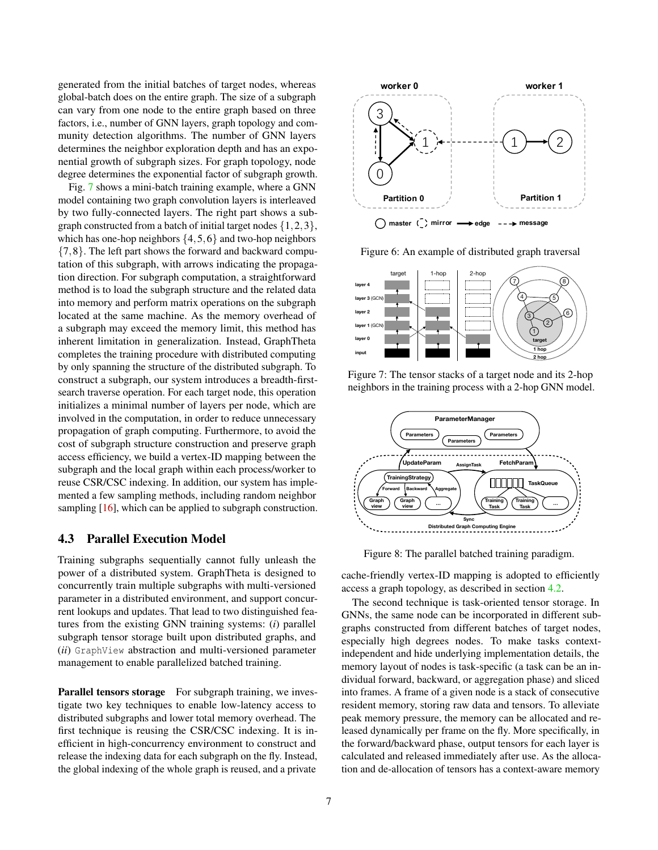generated from the initial batches of target nodes, whereas global-batch does on the entire graph. The size of a subgraph can vary from one node to the entire graph based on three factors, i.e., number of GNN layers, graph topology and community detection algorithms. The number of GNN layers determines the neighbor exploration depth and has an exponential growth of subgraph sizes. For graph topology, node degree determines the exponential factor of subgraph growth.

Fig. [7](#page-6-1) shows a mini-batch training example, where a GNN model containing two graph convolution layers is interleaved by two fully-connected layers. The right part shows a subgraph constructed from a batch of initial target nodes  $\{1,2,3\}$ , which has one-hop neighbors  $\{4,5,6\}$  and two-hop neighbors {7,8}. The left part shows the forward and backward computation of this subgraph, with arrows indicating the propagation direction. For subgraph computation, a straightforward method is to load the subgraph structure and the related data into memory and perform matrix operations on the subgraph located at the same machine. As the memory overhead of a subgraph may exceed the memory limit, this method has inherent limitation in generalization. Instead, GraphTheta completes the training procedure with distributed computing by only spanning the structure of the distributed subgraph. To construct a subgraph, our system introduces a breadth-firstsearch traverse operation. For each target node, this operation initializes a minimal number of layers per node, which are involved in the computation, in order to reduce unnecessary propagation of graph computing. Furthermore, to avoid the cost of subgraph structure construction and preserve graph access efficiency, we build a vertex-ID mapping between the subgraph and the local graph within each process/worker to reuse CSR/CSC indexing. In addition, our system has implemented a few sampling methods, including random neighbor sampling [\[16\]](#page-11-5), which can be applied to subgraph construction. degree determines the exponential factor of subgraph growth.<br>
Fig. 7 shows a mini-batch training example, where a GNN<br>by two fully-connected havens The right part historical syces interdeved<br>by two fully-connected haves. T

# 4.3 Parallel Execution Model

Training subgraphs sequentially cannot fully unleash the power of a distributed system. GraphTheta is designed to concurrently train multiple subgraphs with multi-versioned parameter in a distributed environment, and support concurrent lookups and updates. That lead to two distinguished features from the existing GNN training systems: (*i*) parallel subgraph tensor storage built upon distributed graphs, and (*ii*) GraphView abstraction and multi-versioned parameter management to enable parallelized batched training.

Parallel tensors storage For subgraph training, we investigate two key techniques to enable low-latency access to distributed subgraphs and lower total memory overhead. The first technique is reusing the CSR/CSC indexing. It is inefficient in high-concurrency environment to construct and release the indexing data for each subgraph on the fly. Instead,



<span id="page-6-0"></span>Figure 6: An example of distributed graph traversal



<span id="page-6-1"></span>Figure 7: The tensor stacks of a target node and its 2-hop neighbors in the training process with a 2-hop GNN model.



<span id="page-6-2"></span>Figure 8: The parallel batched training paradigm.

cache-friendly vertex-ID mapping is adopted to efficiently access a graph topology, as described in section [4.2.](#page-5-2)

The second technique is task-oriented tensor storage. In GNNs, the same node can be incorporated in different subgraphs constructed from different batches of target nodes, especially high degrees nodes. To make tasks contextindependent and hide underlying implementation details, the memory layout of nodes is task-specific (a task can be an individual forward, backward, or aggregation phase) and sliced into frames. A frame of a given node is a stack of consecutive resident memory, storing raw data and tensors. To alleviate peak memory pressure, the memory can be allocated and released dynamically per frame on the fly. More specifically, in the forward/backward phase, output tensors for each layer is calculated and released immediately after use. As the allocation and de-allocation of tensors has a context-aware memory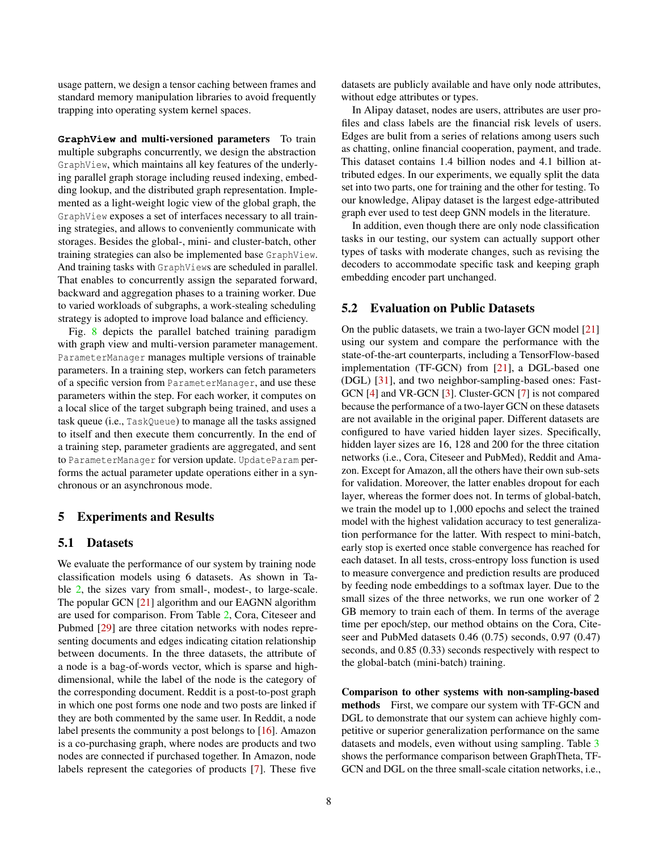usage pattern, we design a tensor caching between frames and standard memory manipulation libraries to avoid frequently trapping into operating system kernel spaces.

**GraphView** and multi-versioned parameters To train multiple subgraphs concurrently, we design the abstraction GraphView, which maintains all key features of the underlying parallel graph storage including reused indexing, embedding lookup, and the distributed graph representation. Implemented as a light-weight logic view of the global graph, the GraphView exposes a set of interfaces necessary to all training strategies, and allows to conveniently communicate with storages. Besides the global-, mini- and cluster-batch, other training strategies can also be implemented base GraphView. And training tasks with GraphViews are scheduled in parallel. That enables to concurrently assign the separated forward, backward and aggregation phases to a training worker. Due to varied workloads of subgraphs, a work-stealing scheduling strategy is adopted to improve load balance and efficiency.

Fig. [8](#page-6-2) depicts the parallel batched training paradigm with graph view and multi-version parameter management. ParameterManager manages multiple versions of trainable parameters. In a training step, workers can fetch parameters of a specific version from ParameterManager, and use these parameters within the step. For each worker, it computes on a local slice of the target subgraph being trained, and uses a task queue (i.e., TaskQueue) to manage all the tasks assigned to itself and then execute them concurrently. In the end of a training step, parameter gradients are aggregated, and sent to ParameterManager for version update. UpdateParam performs the actual parameter update operations either in a synchronous or an asynchronous mode.

#### 5 Experiments and Results

#### 5.1 Datasets

We evaluate the performance of our system by training node classification models using 6 datasets. As shown in Table [2,](#page-8-0) the sizes vary from small-, modest-, to large-scale. The popular GCN [\[21\]](#page-11-4) algorithm and our EAGNN algorithm are used for comparison. From Table [2,](#page-8-0) Cora, Citeseer and Pubmed [\[29\]](#page-11-18) are three citation networks with nodes representing documents and edges indicating citation relationship between documents. In the three datasets, the attribute of a node is a bag-of-words vector, which is sparse and highdimensional, while the label of the node is the category of the corresponding document. Reddit is a post-to-post graph in which one post forms one node and two posts are linked if they are both commented by the same user. In Reddit, a node label presents the community a post belongs to [\[16\]](#page-11-5). Amazon is a co-purchasing graph, where nodes are products and two nodes are connected if purchased together. In Amazon, node labels represent the categories of products [\[7\]](#page-10-7). These five

datasets are publicly available and have only node attributes, without edge attributes or types.

In Alipay dataset, nodes are users, attributes are user profiles and class labels are the financial risk levels of users. Edges are bulit from a series of relations among users such as chatting, online financial cooperation, payment, and trade. This dataset contains 1.4 billion nodes and 4.1 billion attributed edges. In our experiments, we equally split the data set into two parts, one for training and the other for testing. To our knowledge, Alipay dataset is the largest edge-attributed graph ever used to test deep GNN models in the literature.

In addition, even though there are only node classification tasks in our testing, our system can actually support other types of tasks with moderate changes, such as revising the decoders to accommodate specific task and keeping graph embedding encoder part unchanged.

# 5.2 Evaluation on Public Datasets

On the public datasets, we train a two-layer GCN model [\[21\]](#page-11-4) using our system and compare the performance with the state-of-the-art counterparts, including a TensorFlow-based implementation (TF-GCN) from [\[21\]](#page-11-4), a DGL-based one (DGL) [\[31\]](#page-11-12), and two neighbor-sampling-based ones: Fast-GCN [\[4\]](#page-10-3) and VR-GCN [\[3\]](#page-10-11). Cluster-GCN [\[7\]](#page-10-7) is not compared because the performance of a two-layer GCN on these datasets are not available in the original paper. Different datasets are configured to have varied hidden layer sizes. Specifically, hidden layer sizes are 16, 128 and 200 for the three citation networks (i.e., Cora, Citeseer and PubMed), Reddit and Amazon. Except for Amazon, all the others have their own sub-sets for validation. Moreover, the latter enables dropout for each layer, whereas the former does not. In terms of global-batch, we train the model up to 1,000 epochs and select the trained model with the highest validation accuracy to test generalization performance for the latter. With respect to mini-batch, early stop is exerted once stable convergence has reached for each dataset. In all tests, cross-entropy loss function is used to measure convergence and prediction results are produced by feeding node embeddings to a softmax layer. Due to the small sizes of the three networks, we run one worker of 2 GB memory to train each of them. In terms of the average time per epoch/step, our method obtains on the Cora, Citeseer and PubMed datasets 0.46 (0.75) seconds, 0.97 (0.47) seconds, and 0.85 (0.33) seconds respectively with respect to the global-batch (mini-batch) training.

Comparison to other systems with non-sampling-based methods First, we compare our system with TF-GCN and DGL to demonstrate that our system can achieve highly competitive or superior generalization performance on the same datasets and models, even without using sampling. Table [3](#page-8-1) shows the performance comparison between GraphTheta, TF-GCN and DGL on the three small-scale citation networks, i.e.,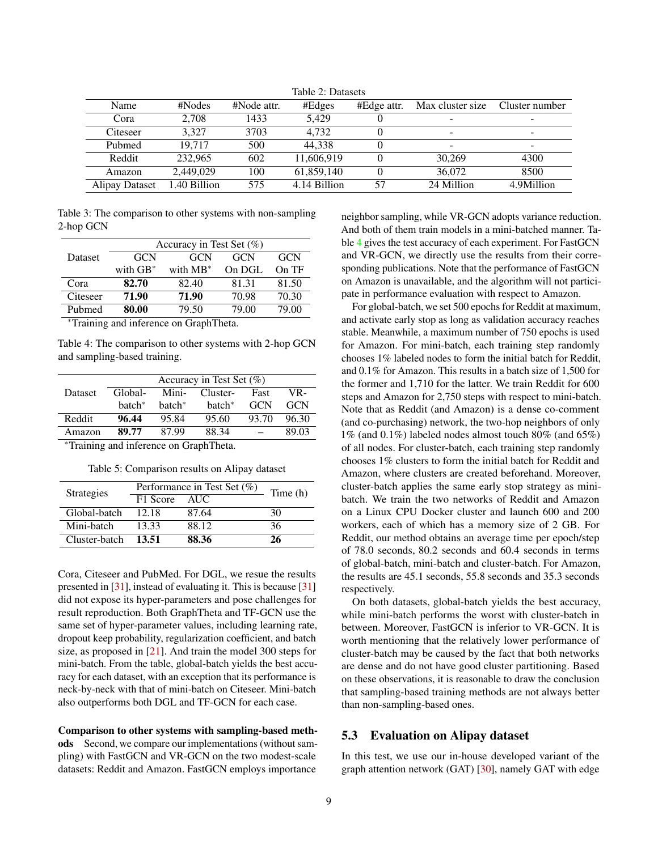<span id="page-8-0"></span>

| Table 2: Datasets |              |             |              |             |                          |                |
|-------------------|--------------|-------------|--------------|-------------|--------------------------|----------------|
| Name              | #Nodes       | #Node attr. | #Edges       | #Edge attr. | Max cluster size         | Cluster number |
| Cora              | 2.708        | 1433        | 5.429        |             | -                        |                |
| Citeseer          | 3.327        | 3703        | 4.732        |             | $\overline{\phantom{0}}$ | ۰              |
| Pubmed            | 19.717       | 500         | 44.338       |             | -                        |                |
| Reddit            | 232,965      | 602         | 11.606.919   |             | 30,269                   | 4300           |
| Amazon            | 2.449.029    | 100         | 61.859.140   | 0           | 36,072                   | 8500           |
| Alipay Dataset    | 1.40 Billion | 575         | 4.14 Billion | 57          | 24 Million               | 4.9Million     |

Table 3: The comparison to other systems with non-sampling

|          | Accuracy in Test Set $(\%)$ |             |            |            |  |  |
|----------|-----------------------------|-------------|------------|------------|--|--|
| Dataset  | GCN                         | GCN         | <b>GCN</b> | <b>GCN</b> |  |  |
|          | with $GB^*$                 | with $MB^*$ | On DGL     | On TF      |  |  |
| Cora     | 82.70                       | 82.40       | 81.31      | 81.50      |  |  |
| Citeseer | 71.90                       | 71.90       | 70.98      | 70.30      |  |  |
| Pubmed   | 80.00                       | 79.50       | 79.00      | 79.00      |  |  |

<sup>∗</sup>Training and inference on GraphTheta.

<span id="page-8-1"></span>2-hop GCN

<span id="page-8-2"></span>Table 4: The comparison to other systems with 2-hop GCN and sampling-based training.

|                | Accuracy in Test Set $(\%)$ |                    |                    |            |            |  |
|----------------|-----------------------------|--------------------|--------------------|------------|------------|--|
| <b>Dataset</b> | Global-                     |                    | Mini- Cluster-     | Fast       | VR-        |  |
|                | batch <sup>*</sup>          | batch <sup>*</sup> | batch <sup>*</sup> | <b>GCN</b> | <b>GCN</b> |  |
| Reddit         | 96.44                       | 95.84              | 95.60              | 93.70      | 96.30      |  |
| Amazon         | 89.77                       | 87.99              | 88.34              |            | 89.03      |  |
|                |                             |                    |                    |            |            |  |

<span id="page-8-3"></span><sup>∗</sup>Training and inference on GraphTheta.

Table 5: Comparison results on Alipay dataset

| <b>Strategies</b> | Performance in Test Set $(\%)$ | Time (h) |    |  |
|-------------------|--------------------------------|----------|----|--|
|                   | F1 Score                       | AUC.     |    |  |
| Global-batch      | 12.18                          | 87.64    | 30 |  |
| Mini-batch        | 13.33                          | 88.12    | 36 |  |
| Cluster-batch     | 13.51                          | 88.36    | 26 |  |

Cora, Citeseer and PubMed. For DGL, we resue the results presented in [\[31\]](#page-11-12), instead of evaluating it. This is because [\[31\]](#page-11-12) did not expose its hyper-parameters and pose challenges for result reproduction. Both GraphTheta and TF-GCN use the same set of hyper-parameter values, including learning rate, dropout keep probability, regularization coefficient, and batch size, as proposed in [\[21\]](#page-11-4). And train the model 300 steps for mini-batch. From the table, global-batch yields the best accuracy for each dataset, with an exception that its performance is neck-by-neck with that of mini-batch on Citeseer. Mini-batch also outperforms both DGL and TF-GCN for each case.

Comparison to other systems with sampling-based methods Second, we compare our implementations (without sampling) with FastGCN and VR-GCN on the two modest-scale datasets: Reddit and Amazon. FastGCN employs importance

neighbor sampling, while VR-GCN adopts variance reduction. And both of them train models in a mini-batched manner. Table [4](#page-8-2) gives the test accuracy of each experiment. For FastGCN and VR-GCN, we directly use the results from their corresponding publications. Note that the performance of FastGCN on Amazon is unavailable, and the algorithm will not participate in performance evaluation with respect to Amazon.

For global-batch, we set 500 epochs for Reddit at maximum, and activate early stop as long as validation accuracy reaches stable. Meanwhile, a maximum number of 750 epochs is used for Amazon. For mini-batch, each training step randomly chooses 1% labeled nodes to form the initial batch for Reddit, and 0.1% for Amazon. This results in a batch size of 1,500 for the former and 1,710 for the latter. We train Reddit for 600 steps and Amazon for 2,750 steps with respect to mini-batch. Note that as Reddit (and Amazon) is a dense co-comment (and co-purchasing) network, the two-hop neighbors of only 1% (and 0.1%) labeled nodes almost touch 80% (and 65%) of all nodes. For cluster-batch, each training step randomly chooses 1% clusters to form the initial batch for Reddit and Amazon, where clusters are created beforehand. Moreover, cluster-batch applies the same early stop strategy as minibatch. We train the two networks of Reddit and Amazon on a Linux CPU Docker cluster and launch 600 and 200 workers, each of which has a memory size of 2 GB. For Reddit, our method obtains an average time per epoch/step of 78.0 seconds, 80.2 seconds and 60.4 seconds in terms of global-batch, mini-batch and cluster-batch. For Amazon, the results are 45.1 seconds, 55.8 seconds and 35.3 seconds respectively.

On both datasets, global-batch yields the best accuracy, while mini-batch performs the worst with cluster-batch in between. Moreover, FastGCN is inferior to VR-GCN. It is worth mentioning that the relatively lower performance of cluster-batch may be caused by the fact that both networks are dense and do not have good cluster partitioning. Based on these observations, it is reasonable to draw the conclusion that sampling-based training methods are not always better than non-sampling-based ones.

#### 5.3 Evaluation on Alipay dataset

In this test, we use our in-house developed variant of the graph attention network (GAT) [\[30\]](#page-11-15), namely GAT with edge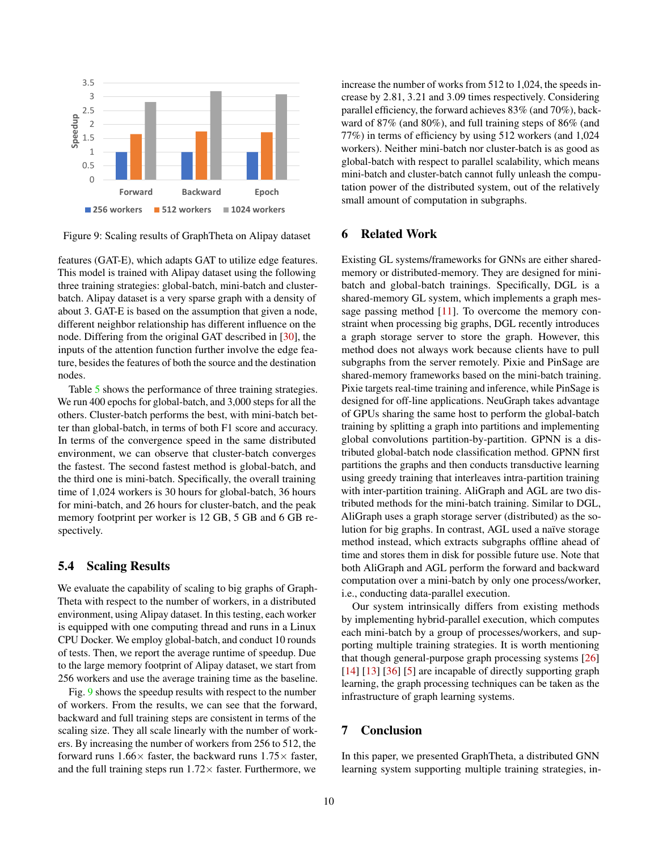

Figure 9: Scaling results of GraphTheta on Alipay dataset

features (GAT-E), which adapts GAT to utilize edge features. This model is trained with Alipay dataset using the following three training strategies: global-batch, mini-batch and clusterbatch. Alipay dataset is a very sparse graph with a density of about 3. GAT-E is based on the assumption that given a node, different neighbor relationship has different influence on the node. Differing from the original GAT described in [\[30\]](#page-11-15), the inputs of the attention function further involve the edge feature, besides the features of both the source and the destination nodes.

Table [5](#page-8-3) shows the performance of three training strategies. We run 400 epochs for global-batch, and 3,000 steps for all the others. Cluster-batch performs the best, with mini-batch better than global-batch, in terms of both F1 score and accuracy. In terms of the convergence speed in the same distributed environment, we can observe that cluster-batch converges the fastest. The second fastest method is global-batch, and the third one is mini-batch. Specifically, the overall training time of 1,024 workers is 30 hours for global-batch, 36 hours for mini-batch, and 26 hours for cluster-batch, and the peak memory footprint per worker is 12 GB, 5 GB and 6 GB respectively.

#### 5.4 Scaling Results

We evaluate the capability of scaling to big graphs of Graph-Theta with respect to the number of workers, in a distributed environment, using Alipay dataset. In this testing, each worker is equipped with one computing thread and runs in a Linux CPU Docker. We employ global-batch, and conduct 10 rounds of tests. Then, we report the average runtime of speedup. Due to the large memory footprint of Alipay dataset, we start from 256 workers and use the average training time as the baseline.

Fig. [9](#page-9-0) shows the speedup results with respect to the number of workers. From the results, we can see that the forward, backward and full training steps are consistent in terms of the scaling size. They all scale linearly with the number of workers. By increasing the number of workers from 256 to 512, the forward runs  $1.66\times$  faster, the backward runs  $1.75\times$  faster, and the full training steps run  $1.72\times$  faster. Furthermore, we

increase the number of works from 512 to 1,024, the speeds increase by 2.81, 3.21 and 3.09 times respectively. Considering parallel efficiency, the forward achieves 83% (and 70%), backward of 87% (and 80%), and full training steps of 86% (and 77%) in terms of efficiency by using 512 workers (and 1,024 workers). Neither mini-batch nor cluster-batch is as good as global-batch with respect to parallel scalability, which means mini-batch and cluster-batch cannot fully unleash the computation power of the distributed system, out of the relatively small amount of computation in subgraphs.

#### <span id="page-9-0"></span>6 Related Work

Existing GL systems/frameworks for GNNs are either sharedmemory or distributed-memory. They are designed for minibatch and global-batch trainings. Specifically, DGL is a shared-memory GL system, which implements a graph message passing method  $[11]$ . To overcome the memory constraint when processing big graphs, DGL recently introduces a graph storage server to store the graph. However, this method does not always work because clients have to pull subgraphs from the server remotely. Pixie and PinSage are shared-memory frameworks based on the mini-batch training. Pixie targets real-time training and inference, while PinSage is designed for off-line applications. NeuGraph takes advantage of GPUs sharing the same host to perform the global-batch training by splitting a graph into partitions and implementing global convolutions partition-by-partition. GPNN is a distributed global-batch node classification method. GPNN first partitions the graphs and then conducts transductive learning using greedy training that interleaves intra-partition training with inter-partition training. AliGraph and AGL are two distributed methods for the mini-batch training. Similar to DGL, AliGraph uses a graph storage server (distributed) as the solution for big graphs. In contrast, AGL used a naïve storage method instead, which extracts subgraphs offline ahead of time and stores them in disk for possible future use. Note that both AliGraph and AGL perform the forward and backward computation over a mini-batch by only one process/worker, i.e., conducting data-parallel execution.

Our system intrinsically differs from existing methods by implementing hybrid-parallel execution, which computes each mini-batch by a group of processes/workers, and supporting multiple training strategies. It is worth mentioning that though general-purpose graph processing systems [\[26\]](#page-11-10) [\[14\]](#page-11-19) [\[13\]](#page-11-9) [\[36\]](#page-12-1) [\[5\]](#page-10-6) are incapable of directly supporting graph learning, the graph processing techniques can be taken as the infrastructure of graph learning systems.

#### 7 Conclusion

In this paper, we presented GraphTheta, a distributed GNN learning system supporting multiple training strategies, in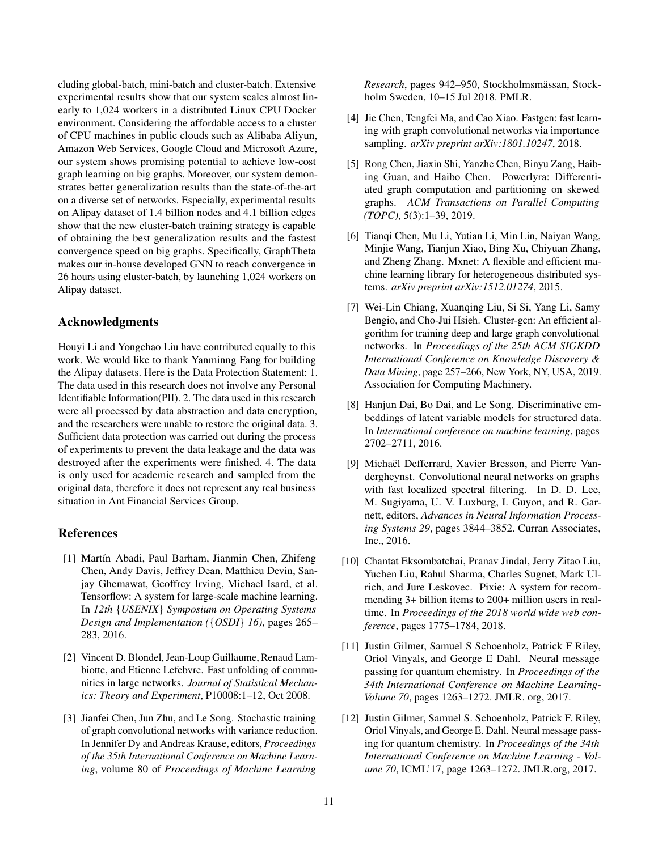cluding global-batch, mini-batch and cluster-batch. Extensive experimental results show that our system scales almost linearly to 1,024 workers in a distributed Linux CPU Docker environment. Considering the affordable access to a cluster of CPU machines in public clouds such as Alibaba Aliyun, Amazon Web Services, Google Cloud and Microsoft Azure, our system shows promising potential to achieve low-cost graph learning on big graphs. Moreover, our system demonstrates better generalization results than the state-of-the-art on a diverse set of networks. Especially, experimental results on Alipay dataset of 1.4 billion nodes and 4.1 billion edges show that the new cluster-batch training strategy is capable of obtaining the best generalization results and the fastest convergence speed on big graphs. Specifically, GraphTheta makes our in-house developed GNN to reach convergence in 26 hours using cluster-batch, by launching 1,024 workers on Alipay dataset.

# Acknowledgments

Houyi Li and Yongchao Liu have contributed equally to this work. We would like to thank Yanminng Fang for building the Alipay datasets. Here is the Data Protection Statement: 1. The data used in this research does not involve any Personal Identifiable Information(PII). 2. The data used in this research were all processed by data abstraction and data encryption, and the researchers were unable to restore the original data. 3. Sufficient data protection was carried out during the process of experiments to prevent the data leakage and the data was destroyed after the experiments were finished. 4. The data is only used for academic research and sampled from the original data, therefore it does not represent any real business situation in Ant Financial Services Group.

#### References

- <span id="page-10-4"></span>[1] Martín Abadi, Paul Barham, Jianmin Chen, Zhifeng Chen, Andy Davis, Jeffrey Dean, Matthieu Devin, Sanjay Ghemawat, Geoffrey Irving, Michael Isard, et al. Tensorflow: A system for large-scale machine learning. In *12th* {*USENIX*} *Symposium on Operating Systems Design and Implementation (*{*OSDI*} *16)*, pages 265– 283, 2016.
- <span id="page-10-10"></span>[2] Vincent D. Blondel, Jean-Loup Guillaume, Renaud Lambiotte, and Etienne Lefebvre. Fast unfolding of communities in large networks. *Journal of Statistical Mechanics: Theory and Experiment*, P10008:1–12, Oct 2008.
- <span id="page-10-11"></span>[3] Jianfei Chen, Jun Zhu, and Le Song. Stochastic training of graph convolutional networks with variance reduction. In Jennifer Dy and Andreas Krause, editors, *Proceedings of the 35th International Conference on Machine Learning*, volume 80 of *Proceedings of Machine Learning*

*Research*, pages 942–950, Stockholmsmässan, Stockholm Sweden, 10–15 Jul 2018. PMLR.

- <span id="page-10-3"></span>[4] Jie Chen, Tengfei Ma, and Cao Xiao. Fastgcn: fast learning with graph convolutional networks via importance sampling. *arXiv preprint arXiv:1801.10247*, 2018.
- <span id="page-10-6"></span>[5] Rong Chen, Jiaxin Shi, Yanzhe Chen, Binyu Zang, Haibing Guan, and Haibo Chen. Powerlyra: Differentiated graph computation and partitioning on skewed graphs. *ACM Transactions on Parallel Computing (TOPC)*, 5(3):1–39, 2019.
- <span id="page-10-5"></span>[6] Tianqi Chen, Mu Li, Yutian Li, Min Lin, Naiyan Wang, Minjie Wang, Tianjun Xiao, Bing Xu, Chiyuan Zhang, and Zheng Zhang. Mxnet: A flexible and efficient machine learning library for heterogeneous distributed systems. *arXiv preprint arXiv:1512.01274*, 2015.
- <span id="page-10-7"></span>[7] Wei-Lin Chiang, Xuanqing Liu, Si Si, Yang Li, Samy Bengio, and Cho-Jui Hsieh. Cluster-gcn: An efficient algorithm for training deep and large graph convolutional networks. In *Proceedings of the 25th ACM SIGKDD International Conference on Knowledge Discovery & Data Mining*, page 257–266, New York, NY, USA, 2019. Association for Computing Machinery.
- <span id="page-10-0"></span>[8] Hanjun Dai, Bo Dai, and Le Song. Discriminative embeddings of latent variable models for structured data. In *International conference on machine learning*, pages 2702–2711, 2016.
- <span id="page-10-8"></span>[9] Michaël Defferrard, Xavier Bresson, and Pierre Vandergheynst. Convolutional neural networks on graphs with fast localized spectral filtering. In D. D. Lee, M. Sugiyama, U. V. Luxburg, I. Guyon, and R. Garnett, editors, *Advances in Neural Information Processing Systems 29*, pages 3844–3852. Curran Associates, Inc., 2016.
- <span id="page-10-1"></span>[10] Chantat Eksombatchai, Pranav Jindal, Jerry Zitao Liu, Yuchen Liu, Rahul Sharma, Charles Sugnet, Mark Ulrich, and Jure Leskovec. Pixie: A system for recommending 3+ billion items to 200+ million users in realtime. In *Proceedings of the 2018 world wide web conference*, pages 1775–1784, 2018.
- <span id="page-10-2"></span>[11] Justin Gilmer, Samuel S Schoenholz, Patrick F Riley, Oriol Vinyals, and George E Dahl. Neural message passing for quantum chemistry. In *Proceedings of the 34th International Conference on Machine Learning-Volume 70*, pages 1263–1272. JMLR. org, 2017.
- <span id="page-10-9"></span>[12] Justin Gilmer, Samuel S. Schoenholz, Patrick F. Riley, Oriol Vinyals, and George E. Dahl. Neural message passing for quantum chemistry. In *Proceedings of the 34th International Conference on Machine Learning - Volume 70*, ICML'17, page 1263–1272. JMLR.org, 2017.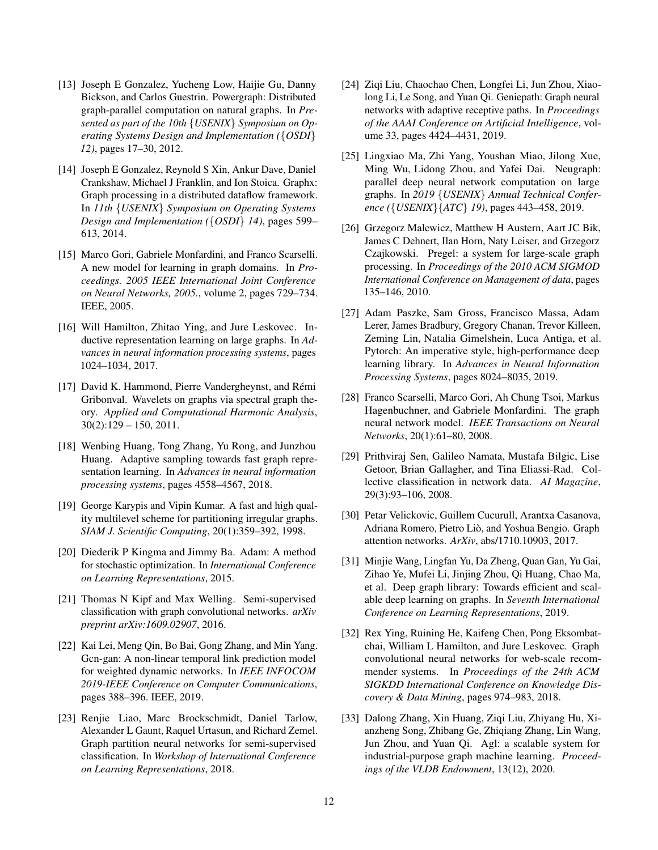- <span id="page-11-9"></span>[13] Joseph E Gonzalez, Yucheng Low, Haijie Gu, Danny Bickson, and Carlos Guestrin. Powergraph: Distributed graph-parallel computation on natural graphs. In *Presented as part of the 10th* {*USENIX*} *Symposium on Operating Systems Design and Implementation (*{*OSDI*} *12)*, pages 17–30, 2012.
- <span id="page-11-19"></span>[14] Joseph E Gonzalez, Reynold S Xin, Ankur Dave, Daniel Crankshaw, Michael J Franklin, and Ion Stoica. Graphx: Graph processing in a distributed dataflow framework. In *11th* {*USENIX*} *Symposium on Operating Systems Design and Implementation (*{*OSDI*} *14)*, pages 599– 613, 2014.
- <span id="page-11-0"></span>[15] Marco Gori, Gabriele Monfardini, and Franco Scarselli. A new model for learning in graph domains. In *Proceedings. 2005 IEEE International Joint Conference on Neural Networks, 2005.*, volume 2, pages 729–734. IEEE, 2005.
- <span id="page-11-5"></span>[16] Will Hamilton, Zhitao Ying, and Jure Leskovec. Inductive representation learning on large graphs. In *Advances in neural information processing systems*, pages 1024–1034, 2017.
- <span id="page-11-20"></span>[17] David K. Hammond, Pierre Vandergheynst, and Rémi Gribonval. Wavelets on graphs via spectral graph theory. *Applied and Computational Harmonic Analysis*,  $30(2):129 - 150, 2011.$
- <span id="page-11-6"></span>[18] Wenbing Huang, Tong Zhang, Yu Rong, and Junzhou Huang. Adaptive sampling towards fast graph representation learning. In *Advances in neural information processing systems*, pages 4558–4567, 2018.
- <span id="page-11-17"></span>[19] George Karypis and Vipin Kumar. A fast and high quality multilevel scheme for partitioning irregular graphs. *SIAM J. Scientific Computing*, 20(1):359–392, 1998.
- <span id="page-11-16"></span>[20] Diederik P Kingma and Jimmy Ba. Adam: A method for stochastic optimization. In *International Conference on Learning Representations*, 2015.
- <span id="page-11-4"></span>[21] Thomas N Kipf and Max Welling. Semi-supervised classification with graph convolutional networks. *arXiv preprint arXiv:1609.02907*, 2016.
- <span id="page-11-2"></span>[22] Kai Lei, Meng Qin, Bo Bai, Gong Zhang, and Min Yang. Gcn-gan: A non-linear temporal link prediction model for weighted dynamic networks. In *IEEE INFOCOM 2019-IEEE Conference on Computer Communications*, pages 388–396. IEEE, 2019.
- <span id="page-11-13"></span>[23] Renjie Liao, Marc Brockschmidt, Daniel Tarlow, Alexander L Gaunt, Raquel Urtasun, and Richard Zemel. Graph partition neural networks for semi-supervised classification. In *Workshop of International Conference on Learning Representations*, 2018.
- <span id="page-11-7"></span>[24] Ziqi Liu, Chaochao Chen, Longfei Li, Jun Zhou, Xiaolong Li, Le Song, and Yuan Qi. Geniepath: Graph neural networks with adaptive receptive paths. In *Proceedings of the AAAI Conference on Artificial Intelligence*, volume 33, pages 4424–4431, 2019.
- <span id="page-11-11"></span>[25] Lingxiao Ma, Zhi Yang, Youshan Miao, Jilong Xue, Ming Wu, Lidong Zhou, and Yafei Dai. Neugraph: parallel deep neural network computation on large graphs. In *2019* {*USENIX*} *Annual Technical Conference (*{*USENIX*}{*ATC*} *19)*, pages 443–458, 2019.
- <span id="page-11-10"></span>[26] Grzegorz Malewicz, Matthew H Austern, Aart JC Bik, James C Dehnert, Ilan Horn, Naty Leiser, and Grzegorz Czajkowski. Pregel: a system for large-scale graph processing. In *Proceedings of the 2010 ACM SIGMOD International Conference on Management of data*, pages 135–146, 2010.
- <span id="page-11-8"></span>[27] Adam Paszke, Sam Gross, Francisco Massa, Adam Lerer, James Bradbury, Gregory Chanan, Trevor Killeen, Zeming Lin, Natalia Gimelshein, Luca Antiga, et al. Pytorch: An imperative style, high-performance deep learning library. In *Advances in Neural Information Processing Systems*, pages 8024–8035, 2019.
- <span id="page-11-1"></span>[28] Franco Scarselli, Marco Gori, Ah Chung Tsoi, Markus Hagenbuchner, and Gabriele Monfardini. The graph neural network model. *IEEE Transactions on Neural Networks*, 20(1):61–80, 2008.
- <span id="page-11-18"></span>[29] Prithviraj Sen, Galileo Namata, Mustafa Bilgic, Lise Getoor, Brian Gallagher, and Tina Eliassi-Rad. Collective classification in network data. *AI Magazine*, 29(3):93–106, 2008.
- <span id="page-11-15"></span>[30] Petar Velickovic, Guillem Cucurull, Arantxa Casanova, Adriana Romero, Pietro Liò, and Yoshua Bengio. Graph attention networks. *ArXiv*, abs/1710.10903, 2017.
- <span id="page-11-12"></span>[31] Minjie Wang, Lingfan Yu, Da Zheng, Quan Gan, Yu Gai, Zihao Ye, Mufei Li, Jinjing Zhou, Qi Huang, Chao Ma, et al. Deep graph library: Towards efficient and scalable deep learning on graphs. In *Seventh International Conference on Learning Representations*, 2019.
- <span id="page-11-3"></span>[32] Rex Ying, Ruining He, Kaifeng Chen, Pong Eksombatchai, William L Hamilton, and Jure Leskovec. Graph convolutional neural networks for web-scale recommender systems. In *Proceedings of the 24th ACM SIGKDD International Conference on Knowledge Discovery & Data Mining*, pages 974–983, 2018.
- <span id="page-11-14"></span>[33] Dalong Zhang, Xin Huang, Ziqi Liu, Zhiyang Hu, Xianzheng Song, Zhibang Ge, Zhiqiang Zhang, Lin Wang, Jun Zhou, and Yuan Qi. Agl: a scalable system for industrial-purpose graph machine learning. *Proceedings of the VLDB Endowment*, 13(12), 2020.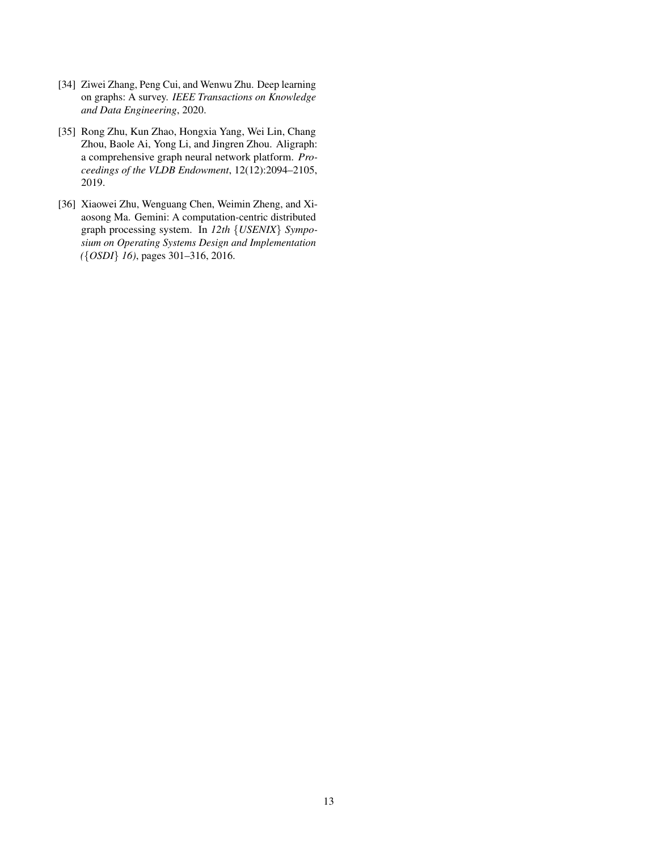- <span id="page-12-2"></span>[34] Ziwei Zhang, Peng Cui, and Wenwu Zhu. Deep learning on graphs: A survey. *IEEE Transactions on Knowledge and Data Engineering*, 2020.
- <span id="page-12-0"></span>[35] Rong Zhu, Kun Zhao, Hongxia Yang, Wei Lin, Chang Zhou, Baole Ai, Yong Li, and Jingren Zhou. Aligraph: a comprehensive graph neural network platform. *Proceedings of the VLDB Endowment*, 12(12):2094–2105, 2019.
- <span id="page-12-1"></span>[36] Xiaowei Zhu, Wenguang Chen, Weimin Zheng, and Xiaosong Ma. Gemini: A computation-centric distributed graph processing system. In *12th* {*USENIX*} *Symposium on Operating Systems Design and Implementation (*{*OSDI*} *16)*, pages 301–316, 2016.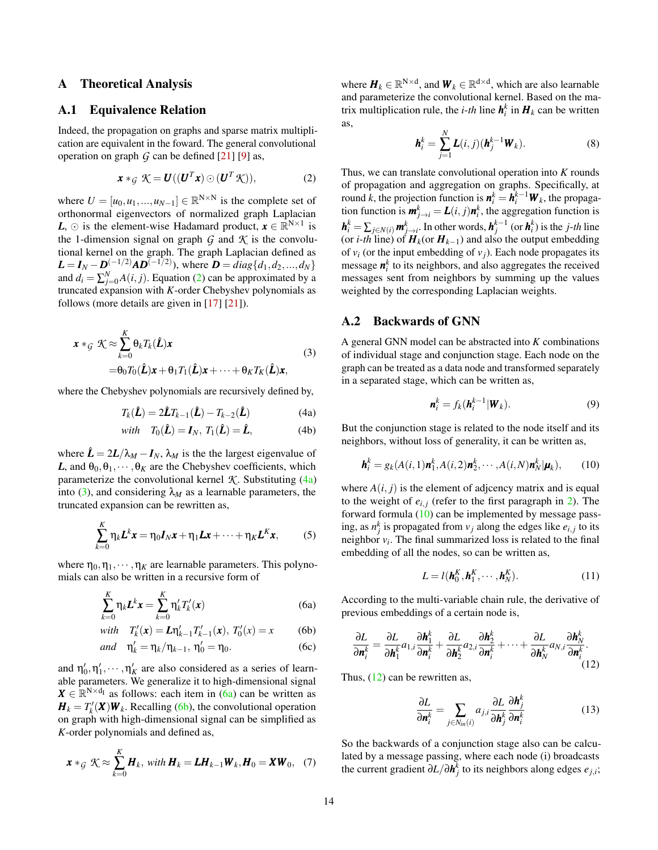#### A Theoretical Analysis

#### <span id="page-13-0"></span>A.1 Equivalence Relation

Indeed, the propagation on graphs and sparse matrix multiplication are equivalent in the foward. The general convolutional operation on graph  $G$  can be defined  $[21]$  [\[9\]](#page-10-8) as,

$$
\boldsymbol{x} *_{\mathcal{G}} \mathcal{K} = \boldsymbol{U}((\boldsymbol{U}^T \boldsymbol{x}) \odot (\boldsymbol{U}^T \mathcal{K})), \tag{2}
$$

where  $U = [u_0, u_1, ..., u_{N-1}] \in \mathbb{R}^{N \times N}$  is the complete set of orthonormal eigenvectors of normalized graph Laplacian *L*,  $\odot$  is the element-wise Hadamard product,  $\mathbf{x} \in \mathbb{R}^{N \times 1}$  is the 1-dimension signal on graph  $G$  and  $K$  is the convolutional kernel on the graph. The graph Laplacian defined as  $L = I_N - D^{(-1/2)}AD^{(-1/2)}$ , where  $D = diag\{d_1, d_2, ..., d_N\}$ and  $d_i = \sum_{j=0}^{N} A(i, j)$ . Equation [\(2\)](#page-13-2) can be approximated by a truncated expansion with *K*-order Chebyshev polynomials as follows (more details are given in [\[17\]](#page-11-20) [\[21\]](#page-11-4)).

<span id="page-13-4"></span>
$$
\mathbf{x} *_{\mathcal{G}} \mathcal{K} \approx \sum_{k=0}^{K} \theta_k T_k(\hat{\mathbf{L}}) \mathbf{x}
$$
  
=  $\theta_0 T_0(\hat{\mathbf{L}}) \mathbf{x} + \theta_1 T_1(\hat{\mathbf{L}}) \mathbf{x} + \dots + \theta_K T_K(\hat{\mathbf{L}}) \mathbf{x},$  (3)

where the Chebyshev polynomials are recursively defined by,

$$
T_k(\hat{\mathbf{L}}) = 2\hat{\mathbf{L}}T_{k-1}(\hat{\mathbf{L}}) - T_{k-2}(\hat{\mathbf{L}})
$$
(4a)

with 
$$
T_0(\hat{\mathbf{L}}) = \mathbf{I}_N
$$
,  $T_1(\hat{\mathbf{L}}) = \hat{\mathbf{L}}$ , (4b)

where  $\hat{\mathbf{L}} = 2\mathbf{L}/\lambda_M - \mathbf{I}_N$ ,  $\lambda_M$  is the the largest eigenvalue of *L*, and  $\theta_0, \theta_1, \dots, \theta_K$  are the Chebyshev coefficients, which parameterize the convolutional kernel  $K$ . Substituting  $(4a)$ into [\(3\)](#page-13-4), and considering  $\lambda_M$  as a learnable parameters, the truncated expansion can be rewritten as,

$$
\sum_{k=0}^{K} \eta_k L^k \mathbf{x} = \eta_0 \mathbf{I}_N \mathbf{x} + \eta_1 \mathbf{L} \mathbf{x} + \dots + \eta_K \mathbf{L}^K \mathbf{x},
$$
 (5)

where  $\eta_0, \eta_1, \dots, \eta_K$  are learnable parameters. This polynomials can also be written in a recursive form of

$$
\sum_{k=0}^{K} \eta_k \mathbf{L}^k \mathbf{x} = \sum_{k=0}^{K} \eta'_k T'_k(\mathbf{x})
$$
\n(6a)

with 
$$
T'_k(\mathbf{x}) = L\eta'_{k-1}T'_{k-1}(\mathbf{x}), T'_0(\mathbf{x}) = \mathbf{x}
$$
 (6b)

$$
and \quad \eta'_k = \eta_k / \eta_{k-1}, \ \eta'_0 = \eta_0. \tag{6c}
$$

and  $\eta'_0, \eta'_1, \cdots, \eta'_K$  are also considered as a series of learnable parameters. We generalize it to high-dimensional signal  $X \in \mathbb{R}^{N \times d_I}$  as follows: each item in [\(6a\)](#page-13-3) can be written as  $H_k = T_k'(\mathbf{X}) \mathbf{W}_k$ . Recalling [\(6b\)](#page-13-2), the convolutional operation on graph with high-dimensional signal can be simplified as *K*-order polynomials and defined as,

$$
\boldsymbol{x} *_{\mathcal{G}} \mathcal{K} \approx \sum_{k=0}^{K} \boldsymbol{H}_k, \ \text{with } \boldsymbol{H}_k = \boldsymbol{L} \boldsymbol{H}_{k-1} \boldsymbol{W}_k, \boldsymbol{H}_0 = \boldsymbol{X} \boldsymbol{W}_0, \quad (7)
$$

where  $\mathbf{H}_k \in \mathbb{R}^{N \times d}$ , and  $\mathbf{W}_k \in \mathbb{R}^{d \times d}$ , which are also learnable and parameterize the convolutional kernel. Based on the matrix multiplication rule, the *i-th* line  $h_i^k$  in  $H_k$  can be written as,

$$
\boldsymbol{h}_i^k = \sum_{j=1}^N \boldsymbol{L}(i,j)(\boldsymbol{h}_j^{k-1}\boldsymbol{W}_k).
$$
 (8)

<span id="page-13-2"></span>Thus, we can translate convolutional operation into *K* rounds of propagation and aggregation on graphs. Specifically, at round *k*, the projection function is  $n_i^k = \hat{h}_i^{k-1} W_k$ , the propagation function is  $\mathbf{m}_{j \to i}^k = L(i, j)\mathbf{n}_i^k$ , the aggregation function is  $h_i^k = \sum_{j \in N(i)} m_{j \to i}^k$ . In other words,  $h_j^{k-1}$  (or  $h_i^k$ ) is the *j*-*th* line (or *i*-*th* line) of  $H_k$ (or  $H_{k-1}$ ) and also the output embedding of  $v_i$  (or the input embedding of  $v_j$ ). Each node propagates its message  $n_i^k$  to its neighbors, and also aggregates the received messages sent from neighbors by summing up the values weighted by the corresponding Laplacian weights.

#### <span id="page-13-1"></span>A.2 Backwards of GNN

A general GNN model can be abstracted into *K* combinations of individual stage and conjunction stage. Each node on the graph can be treated as a data node and transformed separately in a separated stage, which can be written as,

<span id="page-13-5"></span>
$$
\mathbf{n}_i^k = f_k(\mathbf{h}_i^{k-1}|\mathbf{W}_k). \tag{9}
$$

<span id="page-13-3"></span>But the conjunction stage is related to the node itself and its neighbors, without loss of generality, it can be written as,

$$
\boldsymbol{h}_i^k = g_k(A(i,1)\boldsymbol{n}_1^k, A(i,2)\boldsymbol{n}_2^k, \cdots, A(i,N)\boldsymbol{n}_N^k|\boldsymbol{\mu}_k),\qquad(10)
$$

where  $A(i, j)$  is the element of adjcency matrix and is equal to the weight of  $e_{i,j}$  (refer to the first paragraph in [2\)](#page-1-1). The forward formula  $(10)$  can be implemented by message passing, as  $n_j^k$  is propagated from  $v_j$  along the edges like  $e_{i,j}$  to its neighbor  $v_i$ . The final summarized loss is related to the final embedding of all the nodes, so can be written as,

<span id="page-13-6"></span>
$$
L = l(\mathbf{h}_0^K, \mathbf{h}_1^K, \cdots, \mathbf{h}_N^K).
$$
 (11)

According to the multi-variable chain rule, the derivative of previous embeddings of a certain node is,

$$
\frac{\partial L}{\partial \boldsymbol{n}_{i}^{k}} = \frac{\partial L}{\partial \boldsymbol{h}_{1}^{k}} a_{1,i} \frac{\partial \boldsymbol{h}_{1}^{k}}{\partial \boldsymbol{n}_{i}^{k}} + \frac{\partial L}{\partial \boldsymbol{h}_{2}^{k}} a_{2,i} \frac{\partial \boldsymbol{h}_{2}^{k}}{\partial \boldsymbol{n}_{i}^{k}} + \cdots + \frac{\partial L}{\partial \boldsymbol{h}_{N}^{k}} a_{N,i} \frac{\partial \boldsymbol{h}_{N}^{k}}{\partial \boldsymbol{n}_{i}^{k}}.
$$
\n(12)

Thus, [\(12\)](#page-13-6) can be rewritten as,

$$
\frac{\partial L}{\partial \boldsymbol{n}_i^k} = \sum_{j \in N_{in}(i)} a_{j,i} \frac{\partial L}{\partial \boldsymbol{h}_j^k} \frac{\partial \boldsymbol{h}_j^k}{\partial \boldsymbol{n}_i^k}
$$
(13)

So the backwards of a conjunction stage also can be calculated by a message passing, where each node (i) broadcasts the current gradient ∂*L*/∂*h k j* to its neighbors along edges *ej*,*<sup>i</sup>* ;